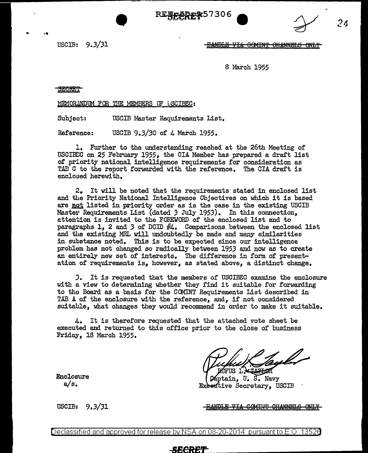REFECRE 27306



USCIB: 9.3/31

8 March 1955

**SECRET** 

MEMORANDUM FOR THE MEMBERS OF USCIBEC:

Subject: USCIB Master Requirements List.

Reference: USCIB 9.3/30 of  $\Lambda$  March 1955.

1. Further to the understanding reached at the 26th Meeting of USCIBEC on 25 February 1955, the CIA Member has prepared a draft list of priority national intelligence requirements for consideration as TAB G to the report forwarded with the reference. The CIA draft is enclosed herewith.

2. It will be noted that the requirements stated in enclosed list and the Priority National Intelligence Objectives on which it is based are not listed in priority order as is the case in the existing USCIB Master Requirements List (dated *3* July 1953). In this connection, attention is invited to the FOREWORD of the enclosed list and to paragraphs 1, 2 and 3 of DCID  $#4$ . Comparisons between the enclosed list and the existing MRL will undoubtedly be made and many similarities in substance noted. This is to be expected since our intelligence problem has not changed so radically between 1953 and now as to create an entirely new set of interests. The difference in form of presentation of requirements is, however, as stated above, a distinct change.

J. It is requested that the members of USCIBEC examine the enclosure with a view to determining whether they find it suitable for forwarding to the Board as a basis for the COMINT Requirements List described in TAB A of the enclosure with the reference, and, if not considered suitable, what changes they would recommend in order to make it suitable.

4. It is therefore requested that the attached vote sheet be executed and returned to this office prior to the close of business Friday, 18 March 1955.

ΠQ

áptain. U. S. Navy Exeedtive Secretary, USCIB

Enclosure a/s.

USCIB: 9.3/31 **fia: The Second HANDLE VIA COMINT CHANNELS ONLY** 

*24* 

Declassified and approved for release by NSA on 08-20-2014 pursuantto E.O. 1352a

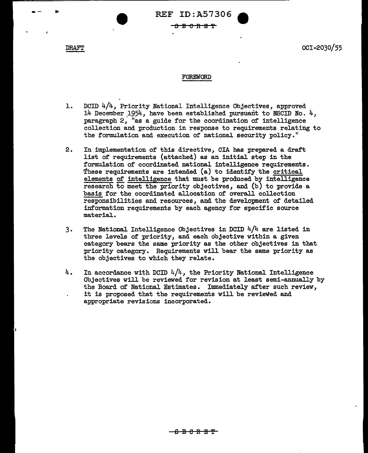-- \* REF ID:A57306<br>
-- \* REF ID:A57306<br>
-- \* \* PECRET

DRAFT OCI-2030/55

### FOREWORD

- 1. DCID  $4/4$ , Priority National Intelligence Objectives, approved 14 December 1954, have been established pursuant to NSCID No. 4, paragraph 2, "as a guide for the coordination of intelligence collection and production in response to requirements relating to the formulation and execution of national security policy."
- 2. In implementation of this directive, CIA has prepared a draft list of requirements (attached) as an initial step in the formulation of coordinated national intelligence requirements. These requirements are intended (a) to identify the critical elements of intelligence that must be produced by intelligence research to meet the priority objectives, and (b) to provide a basis for the coordinated allocation of overall collection responsibilities and resources, and the development of detailed information requirements by each agency for specific source material.
- 3. The National Intelligence Objectives in DCID 4/4 are listed in three levels of priority, and each objective within a given category bears the same priority as the other objectives in that priority category. Requirements will bear the same priority as the objectives to which they relate.
- $4.$  In accordance with DCID  $4/4$ , the Priority National Intelligence Objectives will be reviewed for revision at least semi-annually by the Board of National Estimates. Immediately after such review, it is proposed that the requirements will be reviewed and appropriate revisions incorporated.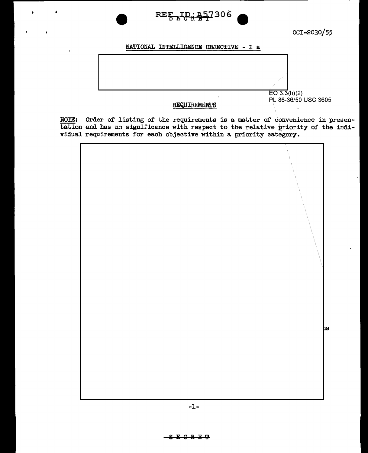

OCI-2030/55

# NATIONAL INTELLIGENCE OBJECTIVE - I a



# REQUIREMENTS

NOTE: Order of listing of the requirements is a matter of convenience in presentation and has no significance with respect to the relative priority of the indi-<br>vidual requirements for each objective within a priority category.

þs.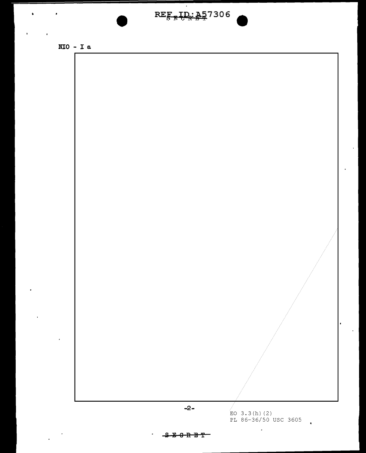



 $\bullet$ 



<del>B 0 R B T</del> e.

 $\epsilon$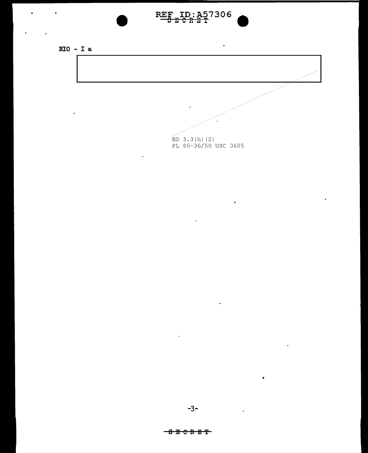

 $\bullet$ 

 $\sim 100$ 

 $\ddot{\phantom{a}}$ 



 $\mathcal{A}$ 

 $\ddot{\phantom{a}}$ 

 $RE_{5.5.6.8.97306}^{EEF}$ 

 $\ddot{\phantom{1}}$ 

 $\epsilon$ 

 $\bullet$ 

 $\bullet$ 

÷.

 $\ddot{\phantom{0}}$ 

# $-3B C R B T$

 $\overline{a}$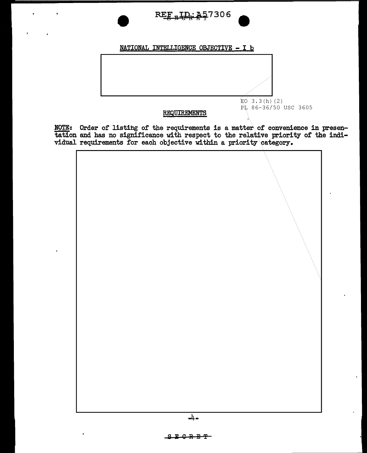

NATIONAL INTELLIGENCE OBJECTIVE - I b



# REQUIREMENTS

NOTE: Order of listing of the requirements is a matter of convenience in presentation and has no significance with respect to the relative priority of the indi-<br>vidual requirements for each objective within a priority cate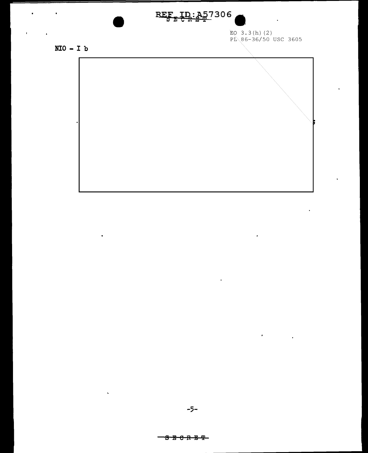

EQ  $3.3(h)$  (2)<br>PL 86-36/50 USC 3605

 $\hat{\mathbf{r}}$ 

 $\mathbf{r} = \left\{ \begin{array}{ll} 0 & \text{if} \ \mathbf{r} = \mathbf{r} \end{array} \right.$ 

 $\bullet$ 

 $\ddot{\phantom{a}}$ 

 $\sim$ 

 $\mathcal{L}^{\pm}$ 

 $NIO - I b$ 

 $\hat{\mathbf{z}}$ 

 $\ddot{\phantom{a}}$ 

 $\ddot{\phantom{a}}$ 

 $\ddot{\phantom{0}}$ 

 $\mathbf{r}^{(i)}$  and  $\mathbf{r}^{(i)}$ 

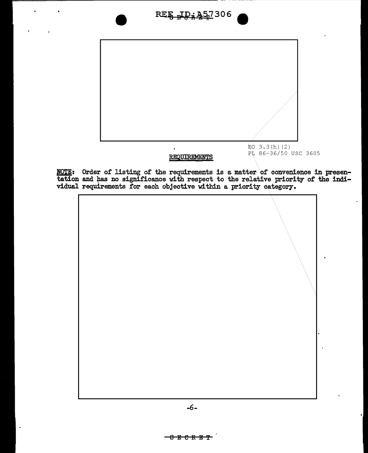# REE TD: 357306



NOTE: Order of listing of the requirements is a matter of convenience in presentation and has no significance with respect to the relative priority of the indi-vidual requirements for each objective within a priority categ

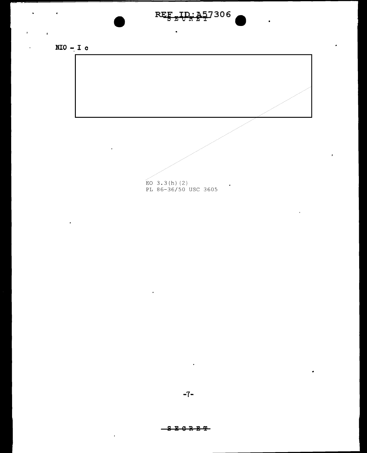

 $\ddot{\phantom{0}}$ 

 $\ddot{\phantom{0}}$ 



 $\pmb{\iota}$ 

 $\hat{\mathbf{r}}$ 



 $-7-$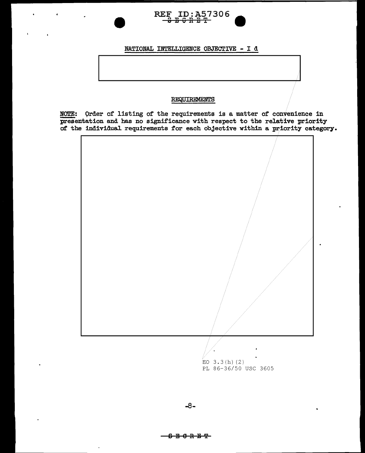

# NATIONAL INTELLIGENCE OBJECTIVE - I d

# REQUIREMENTS

NOTE: Order of listing of the requirements is a matter of convenience in presentation and has no significance with respect to the relative priority of the individual requirements for each objective within a priority category.



 $EO$  3.3(h)(2) PL 86-36/50 USC 3605

<del>8 8 0 R 8 ዋ</del>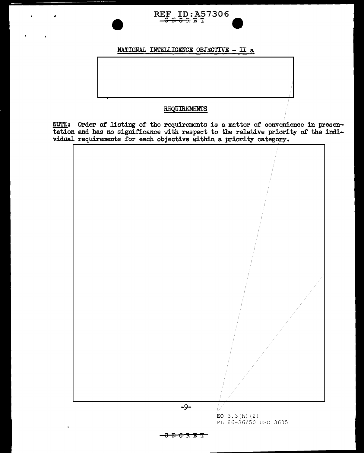# REF ID: A57306

# NATIONAL INTELLIGENCE OBJECTIVE - II a

# REQUIREMENTS

 $\mathbf{r}$ 

**NOTE:** Order of listing of the requirements is a matter of convenience in presentation and has no significance with respect to the relative priority of the indi-<br>vidual requirements for each objective within a priority category.

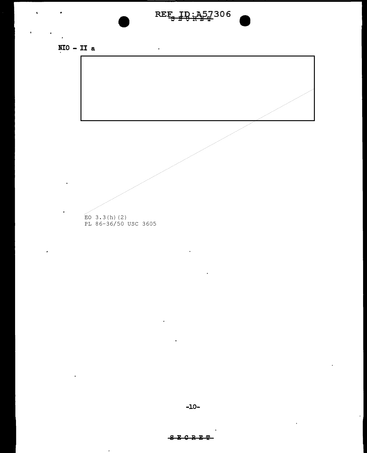# REE ID: A57306

 $\ddot{\phantom{1}}$ 



 $\cdot$ 



# **SECRET**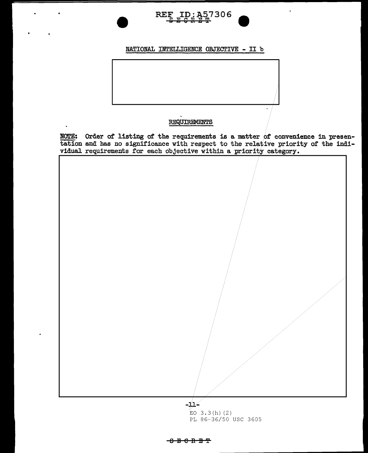

# NATIONAL INTELLIGENCE OBJECTIVE - II b

# REQUIREMENTS

**NOTE:** Order of listing of the requirements is a matter of convenience in presentation and has no significance with respect to the relative priority of the indi-<br>vidual requirements for each objective within a priority c



 $EO$  3.3(h)(2) PL 86-36/50 USC 3605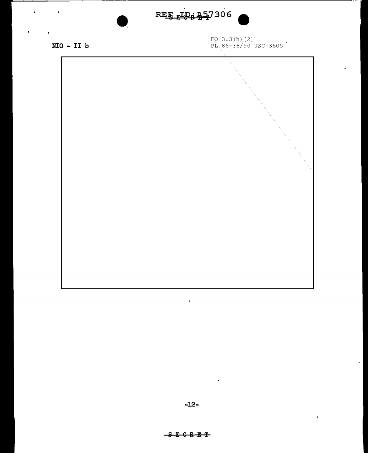# REE TDR 457306

 $NIO - II b$ 

 $\ddot{\phantom{0}}$ 

 $\mathbf{r}$ 

 $\sim$  100  $\pm$ 

 $\mathbf{r}$ 

EO 3.3(h)(2)<br>PL 86-36/50 USC 3605



 $\sim 10^{-1}$ 

 $\sim 10^7$ 

 $\mathbf{r}$ 

 $\ddot{\phantom{0}}$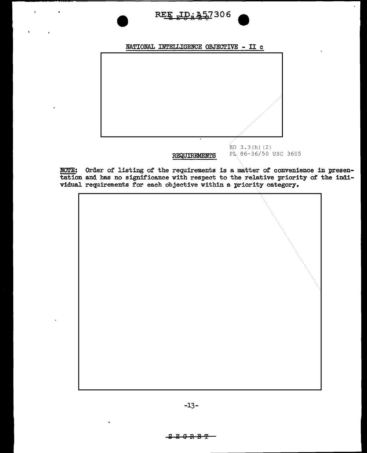





NOTE: Order of listing of the requirements is a matter of convenience in presentation and has no significance with respect to the relative priority of the individual requirements for each objective within a priority category.

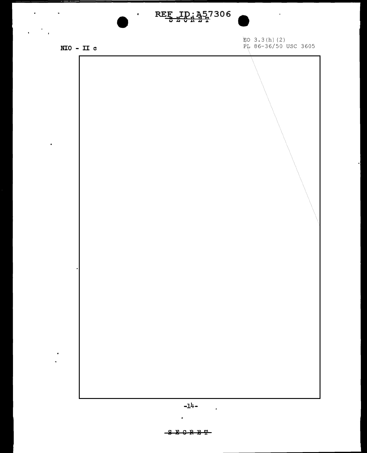# REE ID: 457306

 $\bullet$ 

 $NIO - II c$ 

 $\sim$   $\sim$ 

 $\bullet$ 

 $\bullet$  $\ddot{\phantom{a}}$ 

 $\mathcal{L} = \frac{1}{2} \sum_{i=1}^{2} \mathcal{L}_i$ 

 $\overline{\phantom{a}}$ 

EO  $3.3(h)$  (2) PL 86-36/50 USC 3605

 $\mathbf{A}$  and  $\mathbf{A}$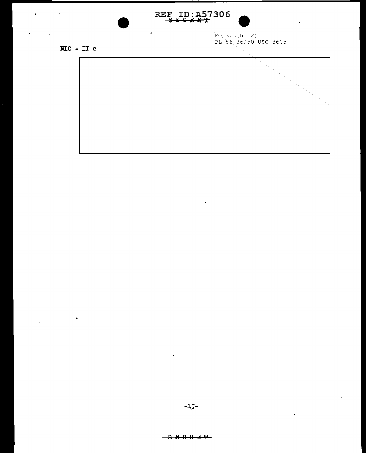

 $\bullet$ 

 $EO$  3.3(h)(2)<br>PL 86-36/50 USC 3605

 $\mathbf{r}$ 

 $NIO$  - II c

 $\bullet$ 

 $\hat{\mathbf{r}}$ 

 $\cdot$ 

 $\sim 10$ 



 $\ddot{\phantom{a}}$ 

 $\mathbf{r}$ 

**SECRET**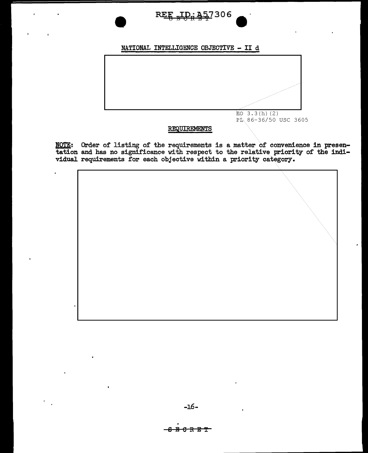D.: A57306 **REE** 

# NATIONAL INTELLIGENCE OBJECTIVE - II d



# REQUIREMENTS

NOTE: Order of listing of the requirements is a matter of convenience in presentation and has no significance with respect to the relative priority of the indi-vidual requirements for each objective within a priority categ



<del>-6 B C R E T</del>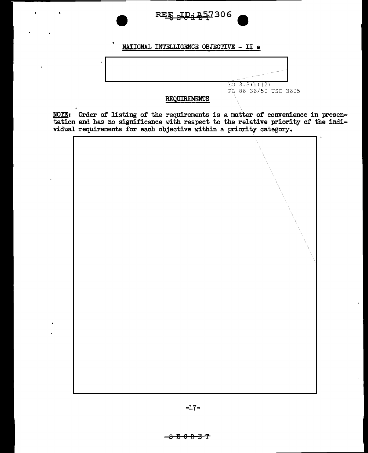

# NATIONAL INTELLIGENCE OBJECTIVE - II e



NOTE: Order of listing of the requirements is a matter of convenience in presentation and has no significance with respect to the relative priority of the individual requirements for each objective within a priority category.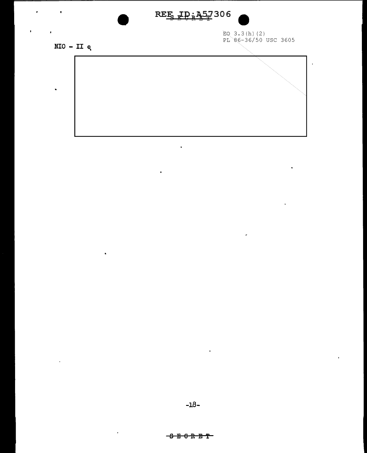# REE ID: 457306

EQ  $3.3(h)$  (2)<br>PL 86-36/50 USC 3605

 $\mathcal{L}_{\mathcal{A}}$ 

 $\bar{1}$ 

 $NIO - II e$ 

×

 $\blacksquare$ 

 $\bullet$ 



 $\ddot{\phantom{a}}$ 

 $\ddot{\phantom{0}}$ 

 $\ddot{\phantom{a}}$ 

 $\hat{\phantom{a}}$ 

 $\bar{1}$ 

 $\ddot{\phantom{a}}$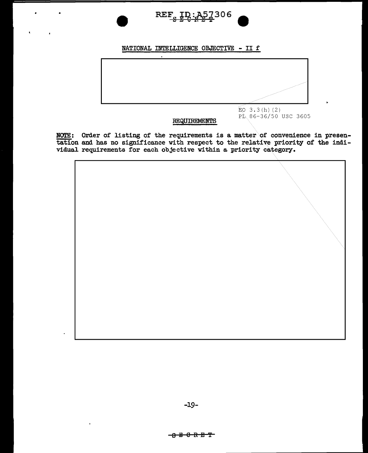

# NATIONAL INTELLIGENCE OBJECTIVE - II f



# **REQUIREMENTS**

NOTE: Order of listing of the requirements is a matter of convenience in presentation and has no significance with respect to the relative priority of the individual requirements for each objective within a priority category.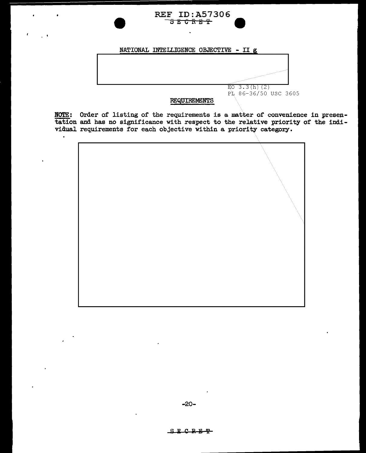

NOTE: Order of listing of the requirements is a matter of convenience in presentation and has no significance with respect to the relative priority of the individual requirements for each objective within a priority category.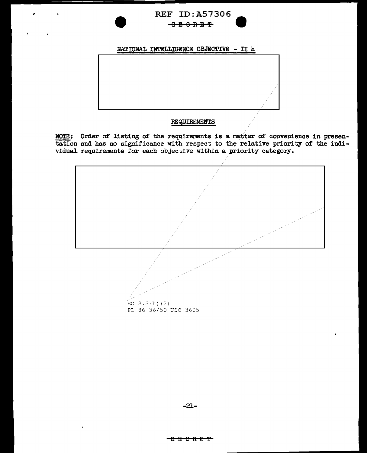

# NATIONAL INTELLIGENCE OBJECTIVE - II h

### **REQUIREMENTS**

NOTE: Order of listing of the requirements is a matter of convenience in presentation and has no significance with respect to the relative priority of the individual requirements for each objective within a priority category.



 $\overline{a}$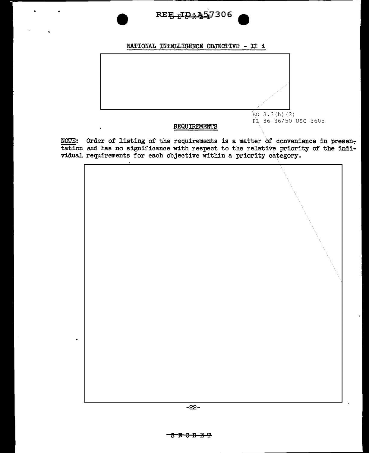# REE JDA 457306

# NATIONAL INTELLIGENCE OBJECTIVE - II i



# REQUIREMENTS

 $\ddot{\phantom{a}}$ 

PL 86-36/50 USC 3605

NOTE: Order of listing of the requirements is a matter of convenience in presentation and has no significance with respect to the relative priority of the indi-<br>vidual requirements for each objective within a priority category.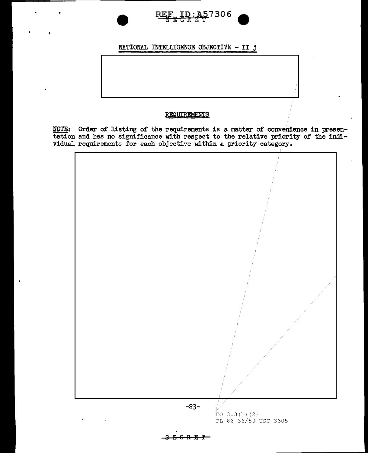

# NATIONAL INTELLIGENCE OBJECTIVE - II j

# REQUIREMENTS

NOTE: Order of listing of the requirements is a matter of convenience in presentation and has no significance with respect to the relative priority of the individual requirements for each objective within a priority category.



SE<del>GRET</del>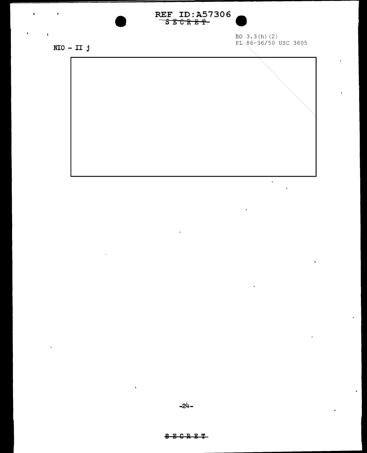

EQ 3.3(h)(2)<br>PL 86-36/50 USC 3605

 $\ddot{\phantom{0}}$ 

 $\mathbf{r}$ 

 $\ddot{\phantom{a}}$ 

 $NIO - II j$ 

 $\pmb{\bar{x}}$ 

 $\pmb{\mathsf{t}}$ 



 $-24-$ 

# $S E C R E T$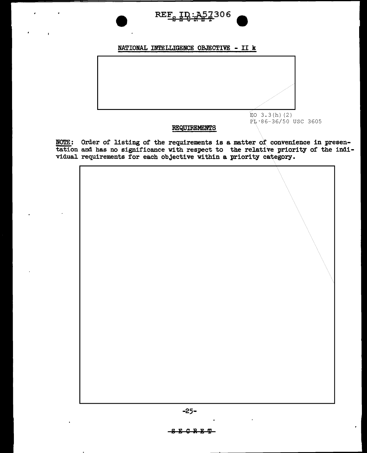

# NATIONAL INTELLIGENCE OBJECTIVE - II k



# REQUIREMENTS

NOTE: Order of listing of the requirements is a matter of convenience in presentation and has no significance with respect to the relative priority of the indi-Vidual requirements for each objective within a priority category.

-25-

# $-$ SECRET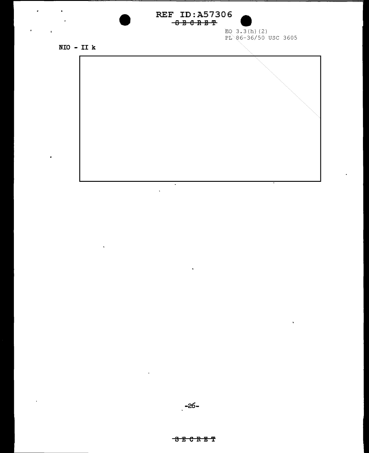# REF ID:A57306  $-6B C R E T$



EQ  $3.3(h)$  (2) PL 86-36/50 USC 3605

 $\bar{\mathbf{v}}$ 

 $NIO - II k$ 

 $\bullet$ 

 $\sim$ 

 $\mathbf{u}^{\prime}$ 

 $\bar{\star}$ 

i.



 $\sim 10$ 

 $\mathbf{r}$ 

 $\hat{\mathbf{v}}$ 

 $\blacksquare$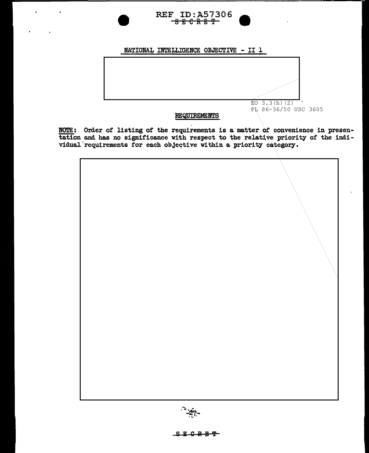

# NATIONAL INTELLIGENCE OBJECTIVE - II 1



NOTE: Order of listing of the requirements is a matter of convenience in presentation and has no significance with respect to the relative priority of the indi-<br>vidual requirements for each objective within a priority category.





SE<del>CRET</del>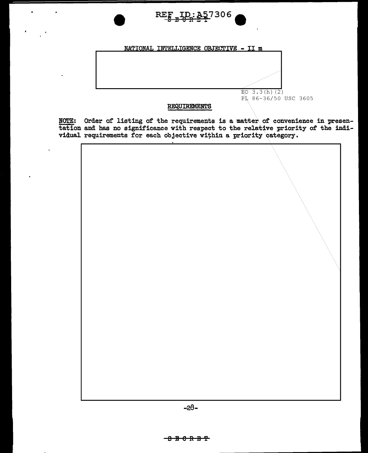

# NATIONAL INTELLIGENCE OBJECTIVE - II m



# REQUIREMENTS

NOTE: Order of listing of the requirements is a matter of convenience in presentation and has no significance with respect to the relative priority of the individual requirements for each objective within a priority catego

| $\mathcal{L}$ |
|---------------|
|               |

 $-28-$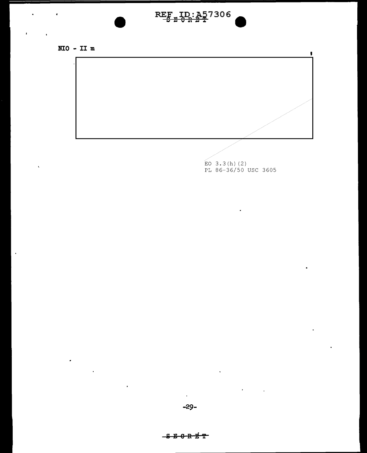# $RE_{\frac{p}{2},\frac{n}{2}}$  ID:  $A_{2}$  7306



 $\bullet$ 

 $\hat{\mathbf{r}}$ 

 $\ddot{\phantom{a}}$ 

 $\bullet$ 

 $\hat{\mathbf{v}}$ 

 $\sim$ 



 $\overline{E}$ O 3.3(h)(2)<br>PL 86-36/50 USC 3605

 $\blacksquare$ 

k,

 $\sim$ 

# <del>B 0 R E T</del>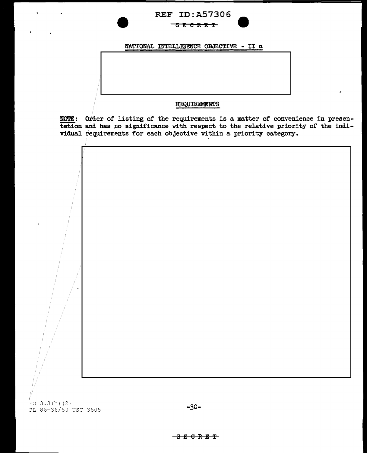# REF ID:A57306 SEeRE'f

NATIONAL INTELLIGENCE OBJECTIVE - II <sup>n</sup>

# REQUIREMENTS

NOTE: Order of listing of the requirements is a matter of convenience in presentation and has no significance with respect to the relative priority of the individual requirements for each objective within a priority category.



# <del>፡ 8 8 6 R E T</del>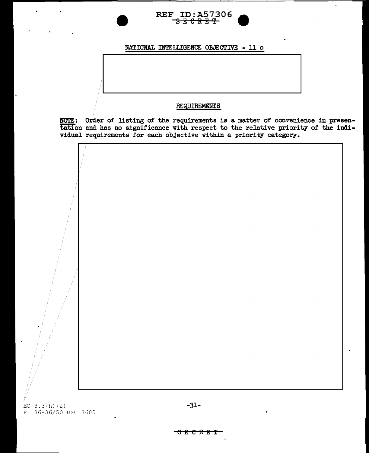

NATIONAL INTELLIGENCE OBJECTIVE - ll o

### REQUIREMENTS

NOTE: Order of listing of the requirements is a matter of convenience in presentation and has no significance With respect to the relative priority of the individual requirements for each obJective within a priority category.

EO  $3.3(h)$  (2)  $-31-$ PL 86-36/50 USC 3605

 $-$ <del>6 E C R E T</del>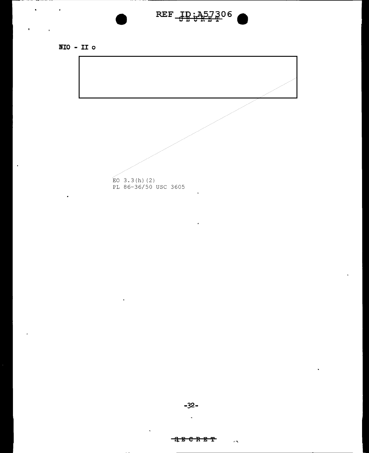# $REF_{\frac{10}{3},A57306}$

. . . .

 $NIO - II o$ 

 $\hat{\mathbf{r}}$ 

 $\mathbf{r}$ 

 $\bar{z}$ 

 $\sim$   $\epsilon$ 

 $\mathbf{r}$ 



 $\overline{a}$ 

 $\mathcal{A}$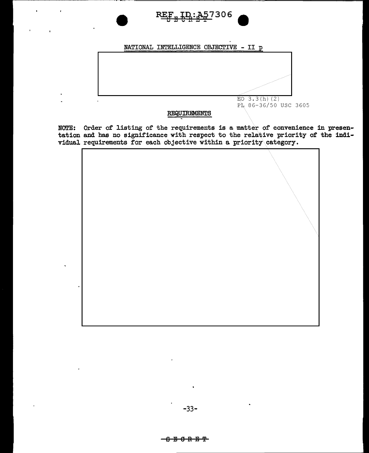

NATIONAL INTELLIGENCE OBJECTIVE - II p



### REQUIREMENTS

NOTE: Order of listing of the requirements is a matter of convenience in presentation and has no significance with respect to the relative priority of the individual requirements for each objective within a priority category.

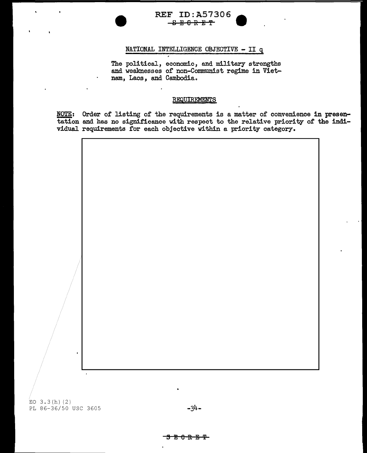

# NATIONAL INTELLIGENCE OBJECTIVE - II q

The political, economic, and military strengths and weaknesses of non-Communist regime in Vietnam, Laos, and Cambodia.

### REQUIREMENTS

NOTE: Order of listing of the requirements is a matter of convenience in presentation and has no significance with respect to the relative priority of the individual requirements for each objective within a priority category.



# $\frac{1}{\sqrt{2}}$   $\frac{1}{\sqrt{2}}$   $\frac{1}{\sqrt{2}}$   $\frac{1}{\sqrt{2}}$   $\frac{1}{\sqrt{2}}$   $\frac{1}{\sqrt{2}}$   $\frac{1}{\sqrt{2}}$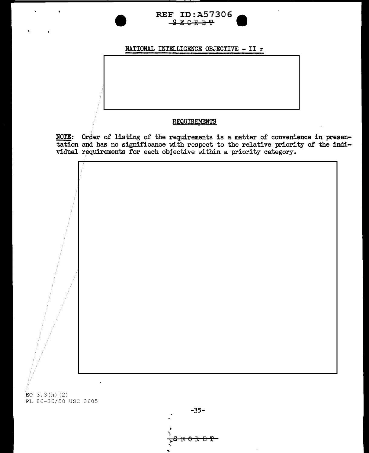# **REF ID: A57306**  $S E C R E T$

# NATIONAL INTELLIGENCE OBJECTIVE - II  $r$

# REQUIREMENTS

NOTE: Order of listing of the requirements is a matter of convenience in presentation and has no significance with respect to the relative priority of the indi-vidual requirements for each objective within a priority categ

EO  $3.3(h)$  (2) PL 86-36/50 USC 3605

 $-35 \del{\theta}$   $\textrm{R}$   $\textrm{E}$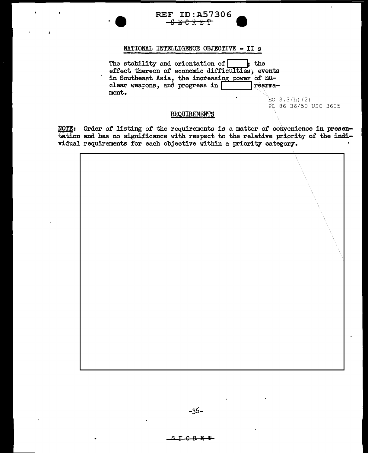# **REF ID: A57306** <del>886RET</del>

# NATIONAL INTELLIGENCE OBJECTIVE - II s

The stability and orientation of  $\left| \right|$  the effect thereon of economic difficulties, events in Southeast Asia, the increasing power of nu-<br>clear weapons, and progress in clear weapons, and progress in ment.

> $EO$  3.3(h)(2) FL 86-36/50 USC 3605

## REQUIREMENTS

NOTE: Order of listing of the requirements is a matter of convenience in presentation and has no significance with respect to the relative priority of the individual requirements for each objective within a priority category-.

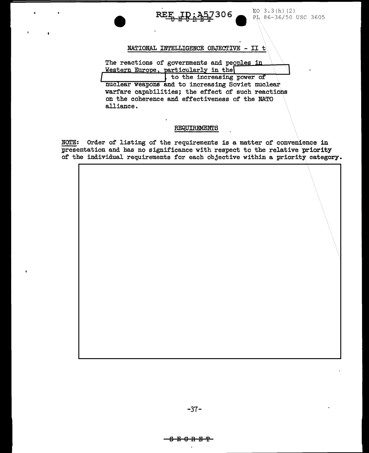306

 $E_0$  3.3(h)(2) PL 86-36/50 USC 3605

NATIONAL INTELLIGENCE OBJECTIVE - II  $t$ 

The reactions of governments and peoples in Western Europe, particularly in the

to the increasing power of nuclear weapons and to increasing Soviet nuclear warfare capabilities; the effect of such reactions on the coherence and effectiveness of the NATO alliance.

# **REQUIREMENTS**

NOTE: Order of listing of the requirements is a matter of convenience in presentation and has no significance with respect to the relative priority of the individual requirements for each objective within a priority category.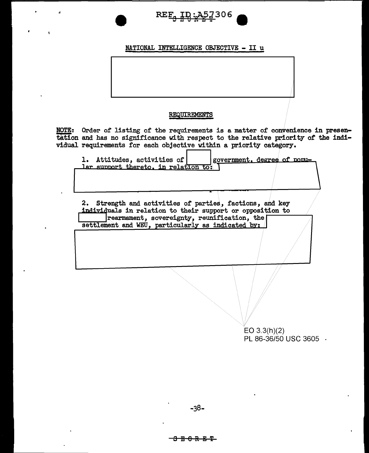

# NATIONAL INTELLIGENCE OBJECTIVE - II u

# REQUIREMENTS

NOTE: Order of listing of the requirements is a matter of convenience in presentation and has no significance with respect to the relative priority of the individual requirements for each objective within a priority category.

1. Attitudes, activities of government, degree of nomular support thereto, in relation to:

2. Strength and activities of parties, factions, and key individuals in relation to their support or opposition to rearmament, sovereignty, reunification, the settlement and WEU, particularly as indicated by:

> $EO 3.3(h)(2)$ PL 86-36/50 USC 3605 ·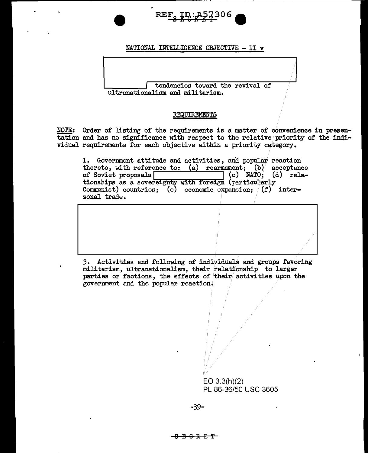

# NATIONAL INTELLIGENCE OBJECTIVE - II <sup>v</sup>

tendencies toward the revival of ultranationalism and militarism.

# REQUIREMENTS

NOTE: Order of listing of the requirements is a matter of convenience in presentation and has no significance with respect to the relative/priority of the individual requirements for each objective within a priority category.

1. Government attitude and activities, and popular reaction thereto, with reference to:  $(a)$  rearmament; (b) acceptance<br>of Soviet proposals  $\begin{bmatrix} (c) \\ (d) \end{bmatrix}$  (c) NATO; (d) rela-(c)  $NATO$ ; (d) relationships as a sovereignty with foreign (particularly Communist) countries;  $(e)$  economic expansion;  $(f)$  interzonal trade.



*3.* Activities and following of individuals and groups favoring militarism, ultranationalism, their relationship to larger parties or factions, the effects of their activities upon the government and the popular reaction.

> EO 3.3(h)(2) PL 86-36/50 USC 3605

-39-

# SEIGRJ!l'i'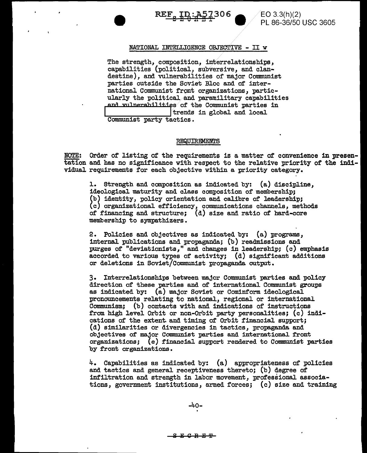

EO 3.3(h)(2) PL 86-36/50 USC 3605

### NATIONAL INTELLIGENCE OBJECTIVE - II *w*

The strength, composition, interrelationships, capabilities (political, subversive, and clandestine), and vulnerabilities of major Communist parties outside the Soviet Bloc and of international Communist front organizations, particularly the political.and paramilitary capabilities and vulnerabilities of the Communist parties in  $\frac{1}{1}$  trends in global and local Communist party tactics.

#### REQUIREMENTS

NOTE: Order of listing of the requirements is a matter of convenience in presentation and has no significance with respect to the relative priority of the individual requirements for each objective within a priority category.

l. Strength and composition as indicated by: (a) discipline, ideological maturity and class composition of membership; (b) identity, policy orientation and calibre of leadership; (c) organizational efficiency, communications channels, methods of financing and structure; (d) size and ratio of hard-core membership to sympathizers.

2. Policies and objectives as indicated by: (a) programs, internal publications and propaganda; (b) readmissions and purges of "deviationists," and changes in leadership; (c) emphasis accorded to various types of activity; (d) significant additions or deletions in Soviet/Communist propaganda. output.

3. Interrelationships between major Communist parties and policy direction of these parties and of international Communist groups as indicated by: (a) major Soviet or Cominform ideological pronouncements relating to national, regional or international Communism; (b) contacts with and indications of instructions from. high level Orbit or non-Orbit party personalities; (c) indications of the extent. and timing of' Orbit financial support; (d) similarities or divergencies in tactics, propaganda and objectives of major Communist parties and international front organizations; (e) financial support rendered to Communist parties by front organizations.

4. Capabilities as indicated by: (a) appropriateness of policies and tactics and general receptiveness thereto; (b) degree of infiltration and strength in labor movement, professional associations, government institutions, armed forces; (c) size and training

 $-40-$ 

 $F G F F F$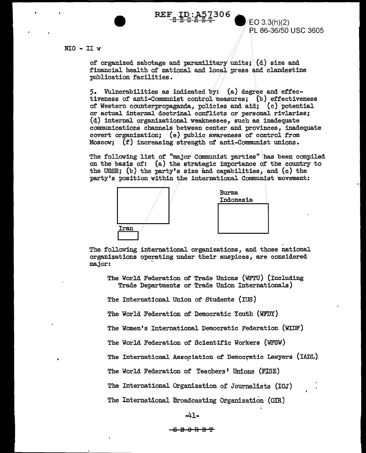$REF_{\frac{8}{32}}$   $\frac{ID: A57306}{R+2}$  .  $E(0.3.3(h)(2))$ 

PL 86-36/50 USC 3605

# NIO - II *w*

of organized sabotage and paramilitary units;  $(d)$  size and financial health of national and local press and clandestine publication facilities.

5. Vulnerabilities as indicated by: {a) degree and effectiveness of anti-Communist control/measures; (b) effectiveness of Western counterpropaganda, policies and aid;  $(c)$  potential or actual internal doctrinal conflicts or personal rivlaries; (d) internal organizational weaknesses, such as inadequate communications channels between center and provinces, inadequate covert organization; (e) public awareness of control from Moscow; (f) increasing strength of anti-Communist unions.

The following list of "major Communist parties" has been compiled on the basis of: (a) the strategic importance of the country to the USSR; (b) the party's size and capabilities, and (c) the party's position within the international Communist movement:



The following international organizations, and those national organizations operating under their auspices, are considered major: ·

The World Federation of Trade Unions (WFTU) (Including Trade Departments or Trade Union Internationals)

The International Union of Students (IUS)

The World Federation of Democratic Youth (WFDY)

The Women's International Democratic Federation (WIDF)

The World Federation of Scientific Workers {WFSW)

The International Association of Democratic Lawyers (IADL)

The World Federation of Teachers' Unions (FISE)

The International Organization of Journalists (IOJ)

The International Broadcasting Organization (OIR)

-41-

8El8REl'i'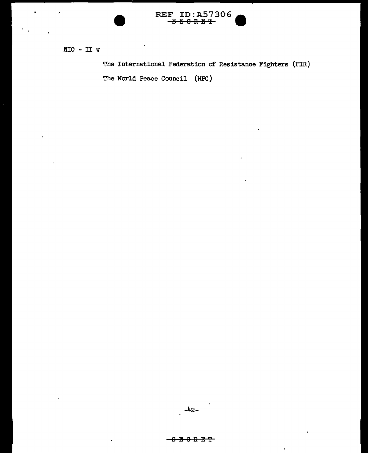

 $NIO - II w$ 

The International Federation of Resistance Fighters (FIR) The World Peace Council (WPC)

#### <del>- 8 ፱ 8 R ፱ T</del>

 $\ddot{\phantom{0}}$ 

J.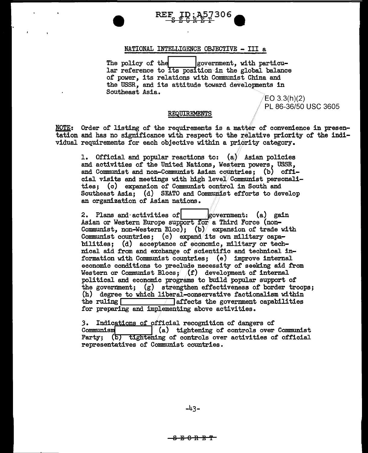

# NATIONAL INTELLIGENCE OBJECTIVE - III a

The policy of the  $|$ government, with particular reference to its position in the global balance of power, its relations with Communist China and the USSR, and its attitude toward develqpments in Southeast Asia.

/EO 3.3(h)(2) PL 86-36/50 USC 3605

#### REQUIREMENTS

NOTE: Order of listing of the requirements is a matter of convenience in presentation and has no significance with respect to the relative priority of the individual requirements for each objective within a priority category.

1. Official and popular reactions to:  $(a)$  Asian policies and activities of the United Nations, Western powers, USSR, and Communist and non-Communist Asian countries; (b) official visits and meetings with high level/Communist personalities; (c) expansion of Communist control in South and Southeast Asia; (d) SEATO and Communist efforts to develop an organization of Asian nations.

2. Plans and activities of  $|$  government: (a) gain Asian or Western Europe support for a Third Force (non-Communist, non-Western Bloc); (b) expansion of trade with Communist countries; (c) expand its own military capabilities; (d) acceptance of economic, military or technical aid from and exchange of scientific and technical information with Communist countries:  $(e)$  improve internal economic conditions to preclude necessity of seeking aid from Western or Communist Blocs;  $(f)$  development of internal political and economic programs to build popular support of the government; (g) strengthen effectiveness of border troops; (h) degree to which liberal-conservative factionalism within the ruling  $\sqrt{\frac{1}{2}}$  affects the government capabilities  $\overline{a}$  affects the government capabilities for preparing and implementing above activities.

3. Indications of official recognition of dangers of Communism  $(a)$  tightening of controls over  $\begin{bmatrix} 1 \end{bmatrix}$  (a) tightening of controls over Communist Party; (b) tightening of controls over activities of official representatives of Communist countries.

<del>8 E 0 R E T |</del>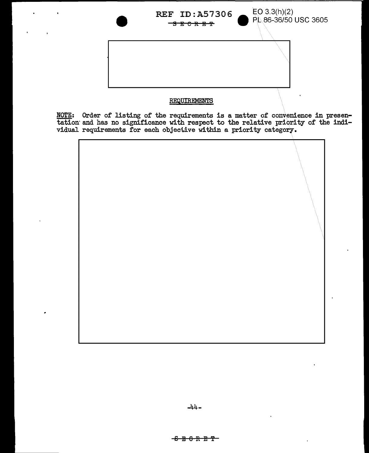

# REQUIREMENTS

NOTE: Order of listing of the requirements is a matter of convenience in presentation and has no significance with respect to the relative priority of the individual requirements for each objective within a priority catego

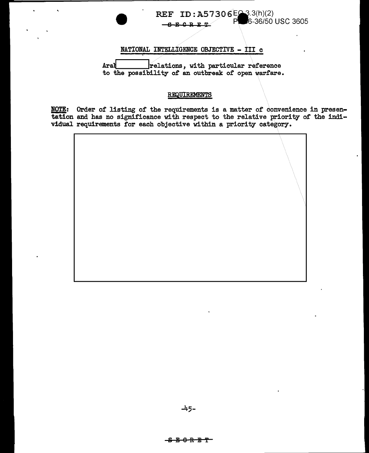# 6-36/50 USC 3605 P  $-6568$ NATIONAL INTELLIGENCE OBJECTIVE - III c relations, with particular reference Aral to the possibility of an outbreak of open warfare.

REF ID: A57306EQ3.3(h)(2)

# REQUIREMENTS

NOTE: Order of listing of the requirements is a matter of convenience in presentation and has no significance with respect to the relative priority of the individual requirements for each objective within a priority category.

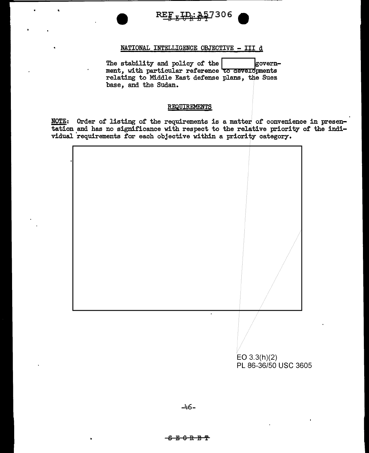

# NATIONAL INTELLIGENCE OBJECTIVE - III d

The stability and policy of the  $|$  government, with particular reference to developments relating to Middle East defense plans, the Suez base, and the Sudan.

# REQUIREMENTS

NOTE: Order of listing of the requirements is a matter of convenience in presentation and has no significance with respect to the relative priority of the individual 'requirements for each objective within a priority category.

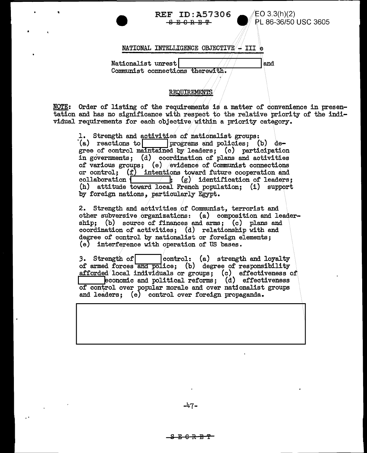**REF ID:A57306**  $\bigotimes_{B, B, B, \overline{B}, \overline{P}}$  **EQ** 3.3(h)(2) **86-36/50** USC 3605

 $\ddot{\phantom{a}}$ 

# NATIONAL INTELLIGENCE OBJECTIVE  $\rightarrow$  III e

Nationalist unrest  $\blacksquare$ Communist connections therewith.

# REQUIREMENTS

NOTE: Order of listing of the requirements is a matter of convenience in presentation and has no significance with respect to the relative priority of the individual requirements for each objective within a priority category.

1. Strength and activities of nationalist groups:<br>(a) reactions to  $\boxed{\qquad}$  programs and policies; (b) deof the requirements is a matter of conventions and has no significance with respect to the relative priority requirements for each objective within a priority category.<br>1. Strength and activities of nationalist groups:<br>(a) in governments; (d) coordination of plans and activities of various groups; (e) evidence of Communist connections or control;  $(f)$  intentions toward future cooperation and collaboration  $\left\{\n\begin{array}{c} f' \\ g' \end{array}\n\right\}$  identification of leaders:  $\overline{\hspace{1cm}}$  (g) identification of leaders; (h) attitude toward local French population; (i) support by foreign nations, particularly Egypt.

2. Strength and activities of Communist, terrorist and other subversive organizations: (a) composition and leadership; (b) source of finances and arms; (c) plans and coordination of activities; (d) relationship with and degree of control by nationalist or foreign elements; (e) interference with operation of US bases.

3. Strength of control: (a) strength and loyalty of armed forces and police; (b) degree of responsibility afforded local individuals or groups; (c) effectiveness of  $\Box$  economic and political reforms; (d) effectiveness of control over popular morale and over nationalist groups and leaders; (e) control over foreign propaganda.

..

<del>ድርጉ ምጥ</del>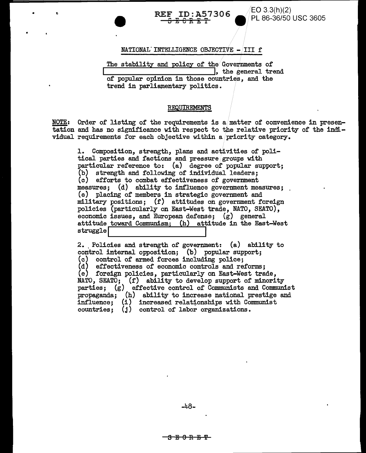# **REF ID:A57306** <del>3 E 8 R E T</del>

 $EO 3.3(h)(2)$ PL 86-36/50 USC 3605

NATIONAL INTELLIGENCE OBJECTIVE - III f

The stability and policy of the Governments of  $\overline{\phantom{a}}$ , the general trend of popular opinion in those countries, and the trend in parliamentary politics.

## REQUIREMENTS

NOTE: Order of listing of the requirements is a matter of convenience in presentation and has no significance with respect to the relative priority of the individual requirements for each objective within a priority category.

Composition, strength, plans and activities of poli-1. tical parties and factions and pressure groups with particular reference to: (a) degree of popular support; (b) strength and following of individual leaders; (c) efforts to combat effectiveness of government measures; (d) ability to influence government measures; (e) placing of members in strategic government and military positions; (f) attitudes on government foreign policies (particularly on East-West trade, NATO, SEATO), economic issues, and European defense;  $(g)$  general attitude toward Communism; (h) attitude in the East-West struggle

2. Policies and strength of government: (a) ability to control internal opposition; (b) popular support; (c) control of armed forces including police; (d) effectiveness of economic controls and reforms; (e) foreign policies, particularly on East-West trade, NATO, SEATO; (f) ability to develop support of minority<br>parties; (g) effective control of Communists and Communist propaganda; (h) ability to increase national prestige and influence; (i) increased relationships with Communist countries;  $(i)$  control of labor organizations.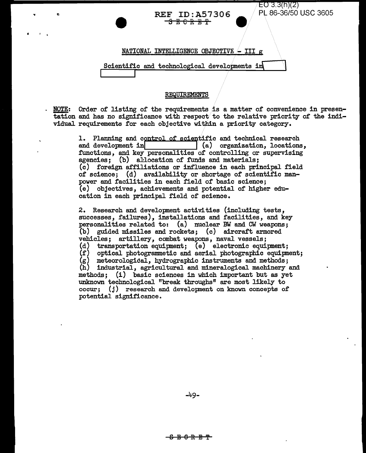# REF ID:A57306  $\overline{S}$   $\overline{E}$   $\overline{C}$   $\overline{R}$   $\overline{E}$   $\overline{T}$

..

 $\cdot$  '  $\cdot$ 

NATIONAL INTELLIGENCE OBJECTIVE  $\sim$  III g

Scientific and technological developments in

# REQUIREMENTS

~: Order of listing of the requirements is a matter of convenience in presentation and has no significance with respect to the relative priority of the individual requirements for each objective within a priority category.

> 1. Planning and control of scientific and technical research and development in  $(a)$  organization. locations  $\vert$  (a) organization, locations, functions, and key personalities of controlling or supervising agencies; (b) allocation of funds and materials; (c) foreign affiliations or influence in each principal field of science; (d) availability or shortage of scientific manpower and facilities in each field of basic science; (e) objectives, achievements and potential of higher education in each principal field of science.

2. Research and development activities (including tests, successes, failures), installations and facilities, and key personalities related to: (a) nuclear BW and CW weapons; (b) guided missiles and rockets; (c) aircraft armored vehicles; artillery, combat weapons, naval vessels; (d) transportation equipment; (e) electronic equipment;<br>(f) optical photogrammetic and aerial photographic equipment; optical photogrammetic and aerial photographic equipment;  $(g)$  meteorological, hydrographic instruments and methods; (h) industrial, agricultural and mineralogical machinery and methods; (i) basic sciences in which important but as yet unknown technological "break throughs" are most likely to occur; (j) research and development on known concepts of potential significance.

-49-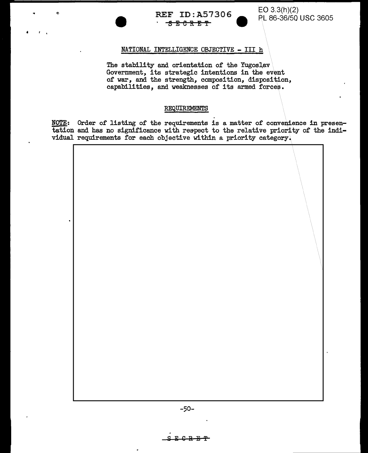

# NATIONAL INTELLIGENCE OBJECTIVE - III h

• • •

The stability and orientation of the Yugoslav Government, its strategic intentions in the event of war, and the strength, composition, disposition, capabilities, and weaknesses of its armed forces.

# REQUIREMENTS

NOTE: Order of listing of the requirements is a matter of convenience in presentation and has no significance with reepect to the relative priority of the individual requirements for each objective within a priority category.

-50-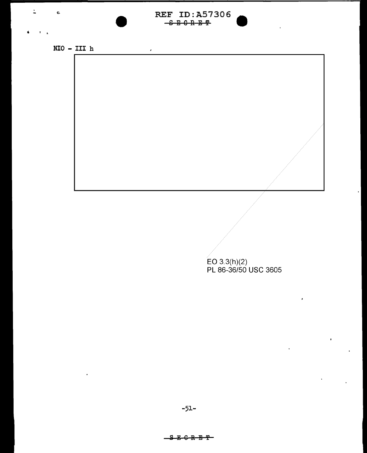# REF ID:A57306<br> $-$ <del>SE0RET</del>

 $\bar{\epsilon}$ 

 $\mbox{\tt NIO}$  –  $\mbox{\tt III}$  h

 $\ddot{\phantom{1}}$ 

 $\mathbb{L}$ 

 $\mathbf{c}$ 

 $\hat{\mathbf{A}}$ 

EO 3.3(h)(2)<br>PL 86-36/50 USC 3605

ï

 $\bar{\mathbf{r}}$ 

 $\hat{\textbf{r}}$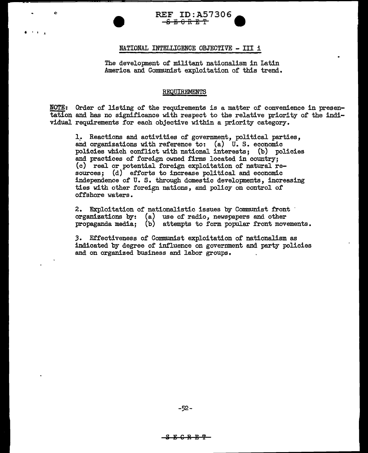

# NATIONAL INTELLIGENCE OBJECTIVE - III <sup>i</sup>

• I I .1

The development of militant nationalism in Latin America and Communist exploitation of this trend.

### REQUIREMENTS

NOTE: Order of listing of the requirements is a matter of convenience in presentation and has no significance with respect to the relative priority of the individual requirements for each objective within a priority category.

1.. Reactions and activities of government, political parties, and organizations with reference to: (a) U. S. economic policies which conflict with national interests; (b) policies and practices of foreign owned firms located in country; (c) real or potential foreign exploitation of natural resources; (d) efforts to increase political and economic independence of U. S. through domestic developments, increasing ties with other foreign nations, and policy on control of offshore waters. '

2. Exploitation of nationalistic issues by Communist front organizations by: (a) use of radio, newspapers and other propaganda media; (b) attempts to form popular front movements.

*3.* Effectiveness of Communist exploitation of nationalism as indicated by degree of influence on government and party policies and on organized business and labor groups.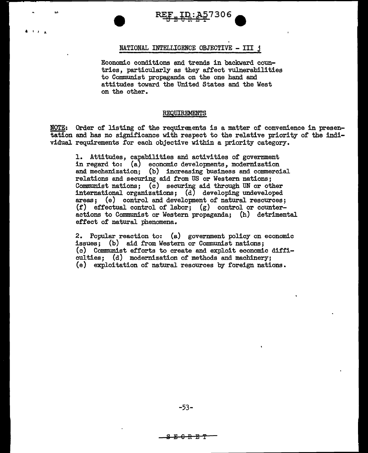

# NATIONAL INTELLIGENCE OBJECTIVE - III j

 $\mathbf{I} \cdot \mathbf{I}$ 

Economic conditions and trends in backward countries, particularly as they affect vulnerabilities to Communist propaganda on the one hand and attitudes toward the United States and the West on the other.

#### REQUIREMENTS

NOTE: Order of listing of the requirements is a matter of convenience in presentation and has no significance with respect to the relative priority of the individual requirements for each objective within a priority category.

1. Attitudes, capabilities and activities of government in regard to: (a) economic developments, modernization and mechanization; (b) increasing business and commercial relations and securing aid from US or Western nations; Communist nations; (c) securing aid through UN or other international organizations;  $(d)$  developing undeveloped areas; (e) control and development of natural resources;  $(f)$  effectual control of labor;  $(g)$  control or counteractions to Communist or Western propaganda; (h) detrimental effect of natural phenomena.

2. Popular reaction to: (a) government policy on economic issues; (b) aid from Western or Communist nations; (c) Communist efforts to create and exploit economic difficulties; (d) modernization of methods and machinery; (e) exploitation of natural resources by foreign nations.

-53-

 $\begin{array}{c} \text{array} \ \text{array} \ \text{array} \ \text{array} \ \text{array} \ \text{array} \ \text{array} \ \text{array} \ \text{array} \ \text{array} \ \text{array} \ \text{array} \ \text{array} \ \text{array} \ \text{array} \ \text{array} \ \text{array} \ \text{array} \ \text{array} \ \text{array} \ \text{array} \ \text{array} \ \text{array} \ \text{array} \ \text{array} \ \text{array} \ \text{array} \ \text{array} \ \text{array} \ \text{array} \ \text{array} \ \text{array} \ \text{array} \ \text{array} \ \text{array} \ \text{$